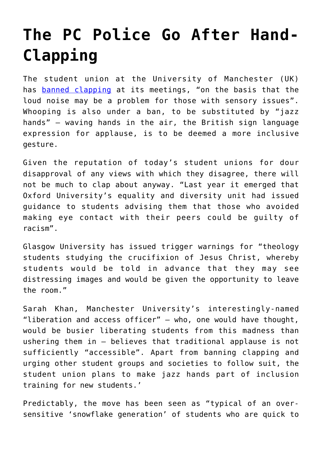## **[The PC Police Go After Hand-](https://intellectualtakeout.org/2018/10/the-pc-police-go-after-hand-clapping/)[Clapping](https://intellectualtakeout.org/2018/10/the-pc-police-go-after-hand-clapping/)**

The student union at the University of Manchester (UK) has [banned clapping](https://www.telegraph.co.uk/news/2018/10/02/clapping-replaced-jazz-hands-student-union-amid-fears-noise/) at its meetings, "on the basis that the loud noise may be a problem for those with sensory issues". Whooping is also under a ban, to be substituted by "jazz hands" – waving hands in the air, the British sign language expression for applause, is to be deemed a more inclusive gesture.

Given the reputation of today's student unions for dour disapproval of any views with which they disagree, there will not be much to clap about anyway. "Last year it emerged that Oxford University's equality and diversity unit had issued guidance to students advising them that those who avoided making eye contact with their peers could be guilty of racism".

Glasgow University has issued trigger warnings for "theology students studying the crucifixion of Jesus Christ, whereby students would be told in advance that they may see distressing images and would be given the opportunity to leave the room."

Sarah Khan, Manchester University's interestingly-named "liberation and access officer" – who, one would have thought, would be busier liberating students from this madness than ushering them in – believes that traditional applause is not sufficiently "accessible". Apart from banning clapping and urging other student groups and societies to follow suit, the student union plans to make jazz hands part of inclusion training for new students.'

Predictably, the move has been seen as "typical of an oversensitive 'snowflake generation' of students who are quick to